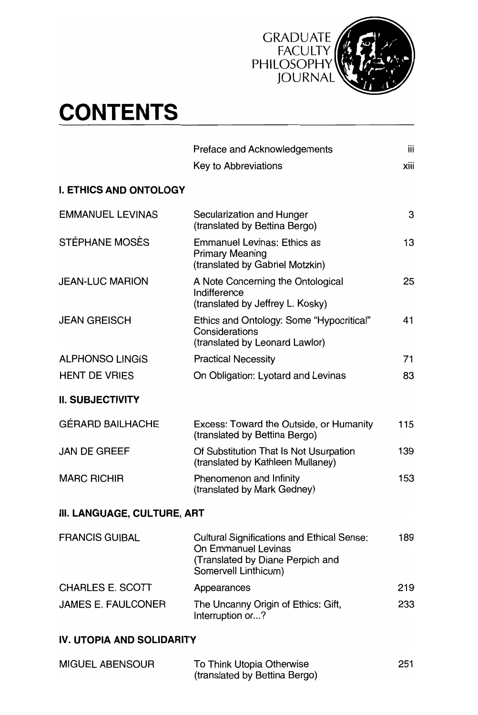

## **CONTENTS**

|                               | Preface and Acknowledgements                                                                                                         | iii  |
|-------------------------------|--------------------------------------------------------------------------------------------------------------------------------------|------|
|                               | Key to Abbreviations                                                                                                                 | xiii |
| <b>I. ETHICS AND ONTOLOGY</b> |                                                                                                                                      |      |
| <b>EMMANUEL LEVINAS</b>       | Secularization and Hunger<br>(translated by Bettina Bergo)                                                                           | 3    |
| STÉPHANE MOSÈS                | <b>Emmanuel Levinas: Ethics as</b><br><b>Primary Meaning</b><br>(translated by Gabriel Motzkin)                                      | 13   |
| <b>JEAN-LUC MARION</b>        | A Note Concerning the Ontological<br>Indifference<br>(translated by Jeffrey L. Kosky)                                                | 25   |
| <b>JEAN GREISCH</b>           | Ethics and Ontology: Some "Hypocritical"<br>Considerations<br>(translated by Leonard Lawlor)                                         | 41   |
| <b>ALPHONSO LINGIS</b>        | <b>Practical Necessity</b>                                                                                                           | 71   |
| <b>HENT DE VRIES</b>          | On Obligation: Lyotard and Levinas                                                                                                   | 83   |
| <b>II. SUBJECTIVITY</b>       |                                                                                                                                      |      |
| <b>GÉRARD BAILHACHE</b>       | Excess: Toward the Outside, or Humanity<br>(translated by Bettina Bergo)                                                             | 115  |
| <b>JAN DE GREEF</b>           | Of Substitution That Is Not Usurpation<br>(translated by Kathleen Mullaney)                                                          | 139  |
| <b>MARC RICHIR</b>            | Phenomenon and Infinity<br>(translated by Mark Gedney)                                                                               | 153  |
| III. LANGUAGE, CULTURE, ART   |                                                                                                                                      |      |
| <b>FRANCIS GUIBAL</b>         | <b>Cultural Significations and Ethical Sense:</b><br>On Emmanuel Levinas<br>(Translated by Diane Perpich and<br>Somervell Linthicum) | 189  |
| CHARLES E. SCOTT              | Appearances                                                                                                                          | 219  |
| <b>JAMES E. FAULCONER</b>     | The Uncanny Origin of Ethics: Gift,<br>Interruption or?                                                                              | 233  |
| IV. UTOPIA AND SOLIDARITY     |                                                                                                                                      |      |
|                               |                                                                                                                                      |      |

| MIGUEL ABENSOUR | To Think Utopia Otherwise     | 251 |
|-----------------|-------------------------------|-----|
|                 | (translated by Bettina Bergo) |     |